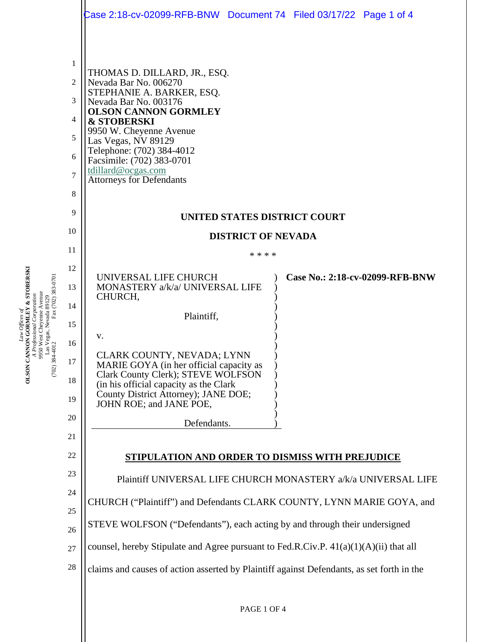|                                                                                                                |                                                                                                                                                         | Case 2:18-cv-02099-RFB-BNW Document 74    Filed 03/17/22    Page 1 of 4                                                                                                                                                                                                                                                                                                                                                                                                                                                                                                                                                                                                                                                                                                                                                                       |  |  |  |
|----------------------------------------------------------------------------------------------------------------|---------------------------------------------------------------------------------------------------------------------------------------------------------|-----------------------------------------------------------------------------------------------------------------------------------------------------------------------------------------------------------------------------------------------------------------------------------------------------------------------------------------------------------------------------------------------------------------------------------------------------------------------------------------------------------------------------------------------------------------------------------------------------------------------------------------------------------------------------------------------------------------------------------------------------------------------------------------------------------------------------------------------|--|--|--|
| Fax (702) 383-0701<br>9950 West Cheyenne Avenue<br>Las Vegas, Nevada 89129<br>384-4012 Fax (702) 38<br>$(702)$ | 1<br>$\overline{2}$<br>3<br>4<br>5<br>6<br>$\overline{7}$<br>8<br>9<br>10<br>11<br>12<br>13<br>14<br>15<br>16<br>17<br>18<br>19<br>20<br>21<br>22<br>23 | THOMAS D. DILLARD, JR., ESQ.<br>Nevada Bar No. 006270<br>STEPHANIE A. BARKER, ESQ.<br>Nevada Bar No. 003176<br><b>OLSON CANNON GORMLEY</b><br><b>&amp; STOBERSKI</b><br>9950 W. Cheyenne Avenue<br>Las Vegas, NV 89129<br>Telephone: (702) 384-4012<br>Facsimile: (702) 383-0701<br>tdillard@ocgas.com<br><b>Attorneys for Defendants</b><br>UNITED STATES DISTRICT COURT<br><b>DISTRICT OF NEVADA</b><br>* * * *<br>Case No.: 2:18-cv-02099-RFB-BNW<br>UNIVERSAL LIFE CHURCH<br>MONASTERY a/k/a/ UNIVERSAL LIFE<br>CHURCH,<br>Plaintiff,<br>v.<br>CLARK COUNTY, NEVADA; LYNN<br>MARIE GOYA (in her official capacity as<br>Clark County Clerk); STEVE WOLFSON<br>(in his official capacity as the Clark<br>County District Attorney); JANE DOE;<br>JOHN ROE; and JANE POE,<br>Defendants.<br>STIPULATION AND ORDER TO DISMISS WITH PREJUDICE |  |  |  |
|                                                                                                                | 24                                                                                                                                                      | Plaintiff UNIVERSAL LIFE CHURCH MONASTERY a/k/a UNIVERSAL LIFE                                                                                                                                                                                                                                                                                                                                                                                                                                                                                                                                                                                                                                                                                                                                                                                |  |  |  |
|                                                                                                                | 25                                                                                                                                                      | CHURCH ("Plaintiff") and Defendants CLARK COUNTY, LYNN MARIE GOYA, and                                                                                                                                                                                                                                                                                                                                                                                                                                                                                                                                                                                                                                                                                                                                                                        |  |  |  |
|                                                                                                                | 26                                                                                                                                                      | STEVE WOLFSON ("Defendants"), each acting by and through their undersigned                                                                                                                                                                                                                                                                                                                                                                                                                                                                                                                                                                                                                                                                                                                                                                    |  |  |  |
|                                                                                                                | 27                                                                                                                                                      | counsel, hereby Stipulate and Agree pursuant to Fed.R.Civ.P. $41(a)(1)(A)(ii)$ that all                                                                                                                                                                                                                                                                                                                                                                                                                                                                                                                                                                                                                                                                                                                                                       |  |  |  |
|                                                                                                                | 28                                                                                                                                                      | claims and causes of action asserted by Plaintiff against Defendants, as set forth in the                                                                                                                                                                                                                                                                                                                                                                                                                                                                                                                                                                                                                                                                                                                                                     |  |  |  |
|                                                                                                                |                                                                                                                                                         |                                                                                                                                                                                                                                                                                                                                                                                                                                                                                                                                                                                                                                                                                                                                                                                                                                               |  |  |  |

*Law Offices of*

**G O R MLEY & STOBERSKI**

*A Professional Corporation*

**OLSON CANNON**<br>A<br>A<br>Profes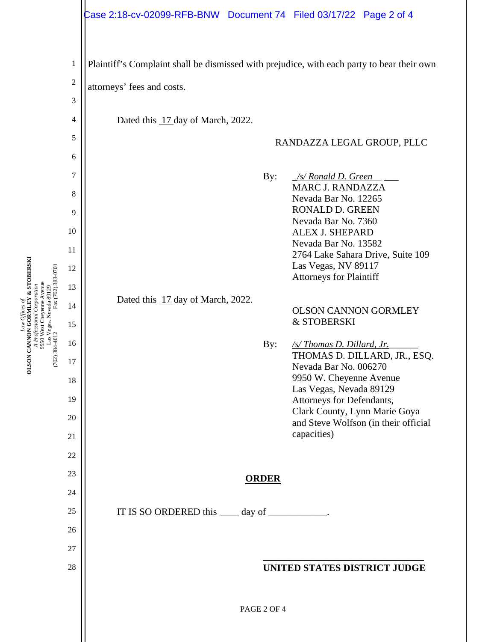## Case 2:18-cv-02099-RFB-BNW Document 74 Filed 03/17/22 Page 2 of 4



*Law Offices of*

**G O R MLEY & STOBERSKI**

**OLSON CANNON**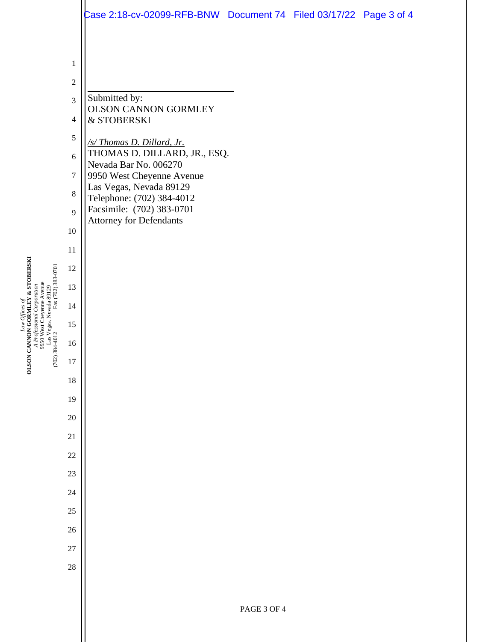|                  | Case 2:18-cv-02099-RFB-BNW Document 74 Filed 03/17/22 Page 3 of 4 |  |  |
|------------------|-------------------------------------------------------------------|--|--|
|                  |                                                                   |  |  |
| $\mathbf{1}$     |                                                                   |  |  |
| $\sqrt{2}$       |                                                                   |  |  |
| 3                | Submitted by:                                                     |  |  |
| $\overline{4}$   | OLSON CANNON GORMLEY<br>& STOBERSKI                               |  |  |
| 5                | /s/Thomas D. Dillard, Jr.                                         |  |  |
| $\sqrt{6}$       | THOMAS D. DILLARD, JR., ESQ.<br>Nevada Bar No. 006270             |  |  |
| $\boldsymbol{7}$ | 9950 West Cheyenne Avenue                                         |  |  |
| 8                | Las Vegas, Nevada 89129<br>Telephone: (702) 384-4012              |  |  |
| 9                | Facsimile: (702) 383-0701<br><b>Attorney for Defendants</b>       |  |  |
| $10\,$           |                                                                   |  |  |
| 11               |                                                                   |  |  |
| 12               |                                                                   |  |  |
| 13               |                                                                   |  |  |
| 14               |                                                                   |  |  |
| 15               |                                                                   |  |  |
| 16               |                                                                   |  |  |
| 17               |                                                                   |  |  |
| $18\,$           |                                                                   |  |  |
| 19               |                                                                   |  |  |
| $20\,$           |                                                                   |  |  |
| $21\,$           |                                                                   |  |  |
| $22\,$           |                                                                   |  |  |
| $23\,$           |                                                                   |  |  |
| $24\,$           |                                                                   |  |  |
| 25               |                                                                   |  |  |
| 26               |                                                                   |  |  |
| 27               |                                                                   |  |  |
| 28               |                                                                   |  |  |
|                  |                                                                   |  |  |
|                  |                                                                   |  |  |

*Law Offices of* **OLSON CANNON G O R MLEY & STOBERSKI** *A Professional Corporation* 9950 West Cheyenne Avenue Las Vegas, Nevada 89129 (702) 384-4012 Fax (702) 383-0701